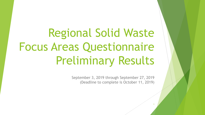Regional Solid Waste Focus Areas Questionnaire Preliminary Results

> September 3, 2019 through September 27, 2019 (Deadline to complete is October 11, 2019)

> > 1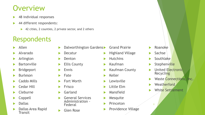### **Overview**

- 48 individual responses
- 44 different respondents:
	- ▶ 42 cities, 2 counties, 2 private sector, and 2 others

### **Respondents**

- Allen
- Alvarado
- Arlington
- Bartonville
- Bridgeport
- Burleson
- Caddo Mills
- Cedar Hill
- Cleburne
- Coppell
- **Dallas**
- Dallas Area Rapid Transit
- Dalworthington Gardens
- $\blacktriangleright$  Decatur
- **Denton**
- Ellis County
- $\blacktriangleright$  Ennis
- Fate
- Fort Worth
- Frisco
- Garland
- General Services Administration - Federal
- Glen Rose
- Grand Prairie
	- Highland Village
	- **Hutchins**
	- Kaufman
	- Kaufman County
	- Keller
	- Lewisville
	- Little Elm
	- Mansfield
	- Mesquite
	- Princeton
	- Providence Village
- Roanoke
- $\blacktriangleright$  Sachse
- Southlake
- **Stephenville**
- United Electronic Recycling
- Waste Connections, Inc.
- **Weatherford**

2

White Settlement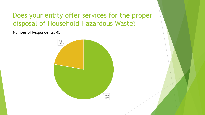### Does your entity offer services for the proper disposal of Household Hazardous Waste?

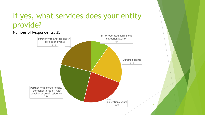### If yes, what services does your entity provide?

#### Entity-operated permanent collection facility 10% Curbside pickup 21% Collection events 23% Partner with another entity - permanent drop off with voucher or proof residency 25% Partner with another entity - collection events 21% 4 Number of Respondents: 35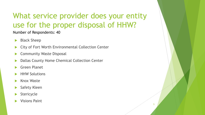# What service provider does your entity use for the proper disposal of HHW?

5

- Black Sheep
- ▶ City of Fort Worth Environmental Collection Center
- Community Waste Disposal
- Dallas County Home Chemical Collection Center
- Green Planet
- HHW Solutions
- Knox Waste
- Safety Kleen
- Stericycle
- Visions Paint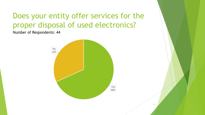# Does your entity offer services for the proper disposal of used electronics?

Number of Respondents: 44



6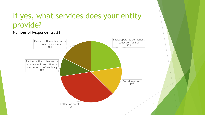## If yes, what services does your entity provide?

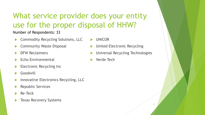# What service provider does your entity use for the proper disposal of HHW?

- Commodity Recycling Solutions, LLC
- Community Waste Disposal
- DFW Reclaimers
- Echo Environmental
- Electronic Recycling Inc
- **Goodwill**
- Innovative Electronics Recycling, LLC
- Republic Services
- Re-Teck
- Texas Recovery Systems
- UNICOR
- United Electronic Recycling
- Universal Recycling Technologies
- Verde Tech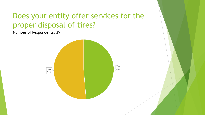# Does your entity offer services for the proper disposal of tires?

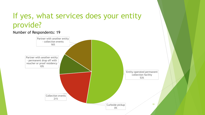### If yes, what services does your entity provide?

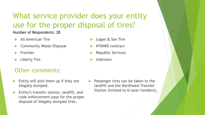What service provider does your entity use for the proper disposal of tires?

#### Number of Respondents: 28

- All American Tire
- Community Waste Disposal
- Frontier
- Liberty Tire

#### Other comments:

- Entity will pick them up if they are illegally dumped.
- Entity's transfer station, landfill, and code enforcement pays for the proper disposal of illegally dumped tires.
- Logan & Son Tire NTMWD contract
- Republic Services
- Unknown

 Passenger tires can be taken to the landfill and the Northwest Transfer Station (limited to 6/year/resident).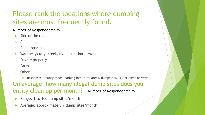### Please rank the locations where dumping sites are most frequently found.

#### Number of Respondents: 39

- 1. Side of the road
- 2. Abandoned lots
- 3. Public spaces
- Waterways (e.g. creek, river, lake shore, etc.)
- 5. Private property
- 6. Parks
- 7. Other
	- Responses: County roads, parking lots, rural areas, dumpsters, TxDOT Right-of-Ways

On average, how many illegal dump sites does your entity clean up per month? Number of Respondents: 39

- Range: 1 to 100 dump sites/month
- Average: approximately 9 dump sites/month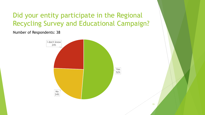### Did your entity participate in the Regional Recycling Survey and Educational Campaign?

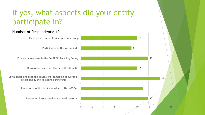# If yes, what aspects did your entity participate in?

#### Number of Respondents: 19

Participated on the Project Advisory Group

Participated in the Waste Audit

Provided a response to the Re-TRAC Recycling Survey

Downloaded and used the "Amplification Kit"

Downloaded and used the educational campaign deliverables developed by the Recycling Partnership

Promoted the "Do You Know What to Throw?" Quiz

Requested free printed educational materials

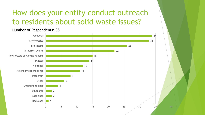# How does your entity conduct outreach to residents about solid waste issues?